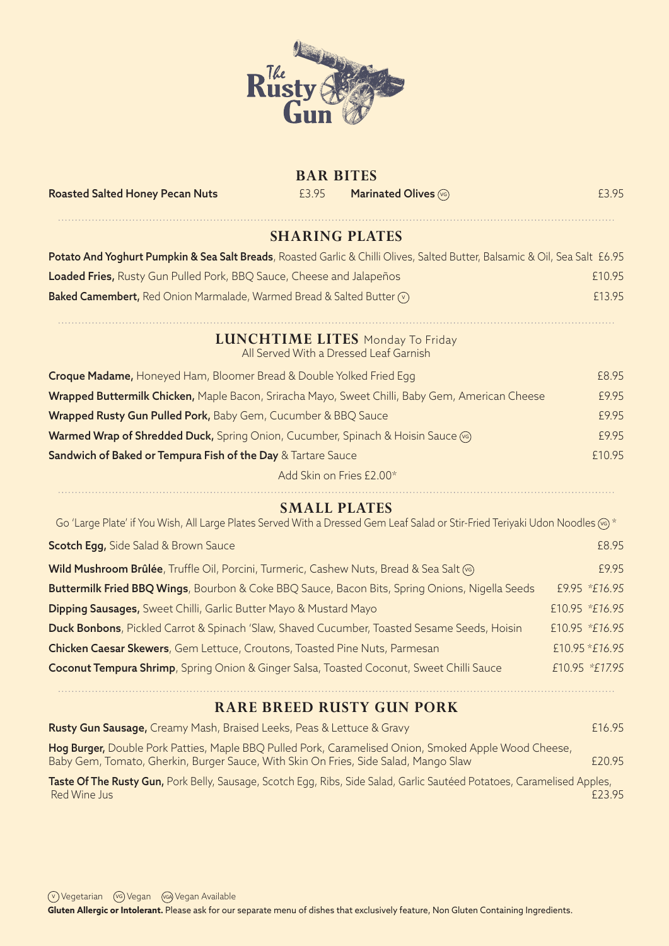

### **BAR BITES**

Roasted Salted Honey Pecan Nuts **EXALL EXALL EXACT Marinated Olives**  $\circledast$  **CONSIDERITY EXACT EXACT EXACT EXACT** 

# **SHARING PLATES**

| Potato And Yoghurt Pumpkin & Sea Salt Breads, Roasted Garlic & Chilli Olives, Salted Butter, Balsamic & Oil, Sea Salt £6.95 |        |
|-----------------------------------------------------------------------------------------------------------------------------|--------|
| Loaded Fries, Rusty Gun Pulled Pork, BBQ Sauce, Cheese and Jalapeños                                                        | £10.95 |
| <b>Baked Camembert,</b> Red Onion Marmalade, Warmed Bread & Salted Butter $\sqrt{ }$                                        | £13.95 |

#### **LUNCHTIME LITES** Monday To Friday All Served With a Dressed Leaf Garnish

| <b>Croque Madame, Honeyed Ham, Bloomer Bread &amp; Double Yolked Fried Egg</b>                  | £8.95  |
|-------------------------------------------------------------------------------------------------|--------|
| Wrapped Buttermilk Chicken, Maple Bacon, Sriracha Mayo, Sweet Chilli, Baby Gem, American Cheese | £9.95  |
| Wrapped Rusty Gun Pulled Pork, Baby Gem, Cucumber & BBQ Sauce                                   | £9.95  |
| Warmed Wrap of Shredded Duck, Spring Onion, Cucumber, Spinach & Hoisin Sauce (6)                | £9.95  |
| Sandwich of Baked or Tempura Fish of the Day & Tartare Sauce                                    | £10.95 |
| Add Skin on Fries £2.00*                                                                        |        |

#### **SMALL PLATES** Go 'Large Plate' if You Wish, All Large Plates Served With a Dressed Gem Leaf Salad or Stir-Fried Teriyaki Udon Noodles (%) \*

| <b>Scotch Egg, Side Salad &amp; Brown Sauce</b>                                                     | £8.95          |
|-----------------------------------------------------------------------------------------------------|----------------|
| Wild Mushroom Brûlée, Truffle Oil, Porcini, Turmeric, Cashew Nuts, Bread & Sea Salt (6)             | £9.95          |
| Buttermilk Fried BBQ Wings, Bourbon & Coke BBQ Sauce, Bacon Bits, Spring Onions, Nigella Seeds      | £9.95 *£16.95  |
| <b>Dipping Sausages, Sweet Chilli, Garlic Butter Mayo &amp; Mustard Mayo</b>                        | £10.95 *£16.95 |
| Duck Bonbons, Pickled Carrot & Spinach 'Slaw, Shaved Cucumber, Toasted Sesame Seeds, Hoisin         | £10.95 *£16.95 |
| Chicken Caesar Skewers, Gem Lettuce, Croutons, Toasted Pine Nuts, Parmesan                          | £10.95 *£16.95 |
| <b>Coconut Tempura Shrimp, Spring Onion &amp; Ginger Salsa, Toasted Coconut, Sweet Chilli Sauce</b> | £10.95 *£17.95 |
|                                                                                                     |                |

#### **RARE BREED RUSTY GUN PORK**

| Rusty Gun Sausage, Creamy Mash, Braised Leeks, Peas & Lettuce & Gravy                                                                                                                       | £16.95 |
|---------------------------------------------------------------------------------------------------------------------------------------------------------------------------------------------|--------|
| Hog Burger, Double Pork Patties, Maple BBQ Pulled Pork, Caramelised Onion, Smoked Apple Wood Cheese,<br>Baby Gem, Tomato, Gherkin, Burger Sauce, With Skin On Fries, Side Salad, Mango Slaw | £20.95 |
| Taste Of The Rusty Gun, Pork Belly, Sausage, Scotch Egg, Ribs, Side Salad, Garlic Sautéed Potatoes, Caramelised Apples,<br>Red Wine Jus                                                     | F2395  |